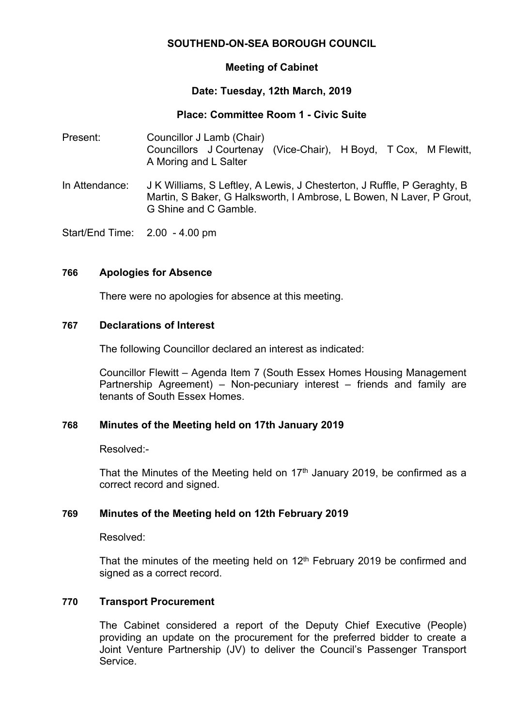# **SOUTHEND-ON-SEA BOROUGH COUNCIL**

## **Meeting of Cabinet**

# **Date: Tuesday, 12th March, 2019**

## **Place: Committee Room 1 - Civic Suite**

- Present: Councillor J Lamb (Chair) Councillors J Courtenay (Vice-Chair), H Boyd, T Cox, M Flewitt, A Moring and L Salter
- In Attendance: J K Williams, S Leftley, A Lewis, J Chesterton, J Ruffle, P Geraghty, B Martin, S Baker, G Halksworth, I Ambrose, L Bowen, N Laver, P Grout, G Shine and C Gamble.

Start/End Time: 2.00 - 4.00 pm

#### **766 Apologies for Absence**

There were no apologies for absence at this meeting.

#### **767 Declarations of Interest**

The following Councillor declared an interest as indicated:

Councillor Flewitt – Agenda Item 7 (South Essex Homes Housing Management Partnership Agreement) – Non-pecuniary interest – friends and family are tenants of South Essex Homes.

#### **768 Minutes of the Meeting held on 17th January 2019**

Resolved:-

That the Minutes of the Meeting held on  $17<sup>th</sup>$  January 2019, be confirmed as a correct record and signed.

## **769 Minutes of the Meeting held on 12th February 2019**

Resolved:

That the minutes of the meeting held on  $12<sup>th</sup>$  February 2019 be confirmed and signed as a correct record.

## **770 Transport Procurement**

The Cabinet considered a report of the Deputy Chief Executive (People) providing an update on the procurement for the preferred bidder to create a Joint Venture Partnership (JV) to deliver the Council's Passenger Transport **Service**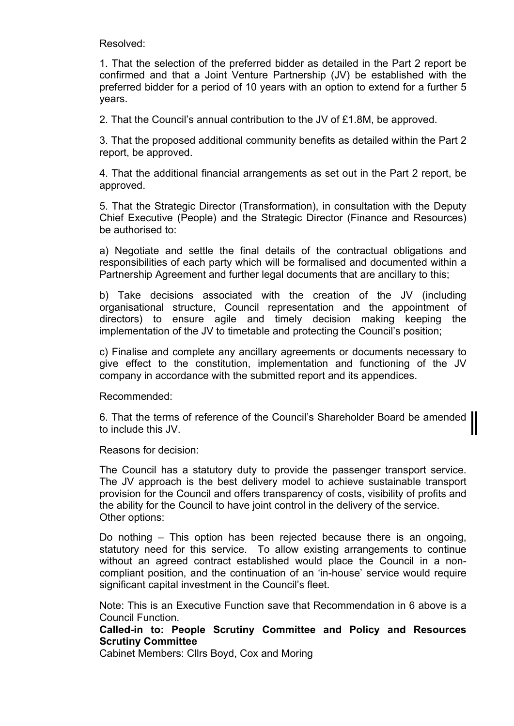Resolved:

1. That the selection of the preferred bidder as detailed in the Part 2 report be confirmed and that a Joint Venture Partnership (JV) be established with the preferred bidder for a period of 10 years with an option to extend for a further 5 years.

2. That the Council's annual contribution to the JV of £1.8M, be approved.

3. That the proposed additional community benefits as detailed within the Part 2 report, be approved.

4. That the additional financial arrangements as set out in the Part 2 report, be approved.

5. That the Strategic Director (Transformation), in consultation with the Deputy Chief Executive (People) and the Strategic Director (Finance and Resources) be authorised to:

a) Negotiate and settle the final details of the contractual obligations and responsibilities of each party which will be formalised and documented within a Partnership Agreement and further legal documents that are ancillary to this;

b) Take decisions associated with the creation of the JV (including organisational structure, Council representation and the appointment of directors) to ensure agile and timely decision making keeping the implementation of the JV to timetable and protecting the Council's position;

c) Finalise and complete any ancillary agreements or documents necessary to give effect to the constitution, implementation and functioning of the JV company in accordance with the submitted report and its appendices.

Recommended:

6. That the terms of reference of the Council's Shareholder Board be amended to include this JV.

Reasons for decision:

The Council has a statutory duty to provide the passenger transport service. The JV approach is the best delivery model to achieve sustainable transport provision for the Council and offers transparency of costs, visibility of profits and the ability for the Council to have joint control in the delivery of the service. Other options:

Do nothing – This option has been rejected because there is an ongoing, statutory need for this service. To allow existing arrangements to continue without an agreed contract established would place the Council in a noncompliant position, and the continuation of an 'in-house' service would require significant capital investment in the Council's fleet.

Note: This is an Executive Function save that Recommendation in 6 above is a Council Function.

## **Called-in to: People Scrutiny Committee and Policy and Resources Scrutiny Committee**

Cabinet Members: Cllrs Boyd, Cox and Moring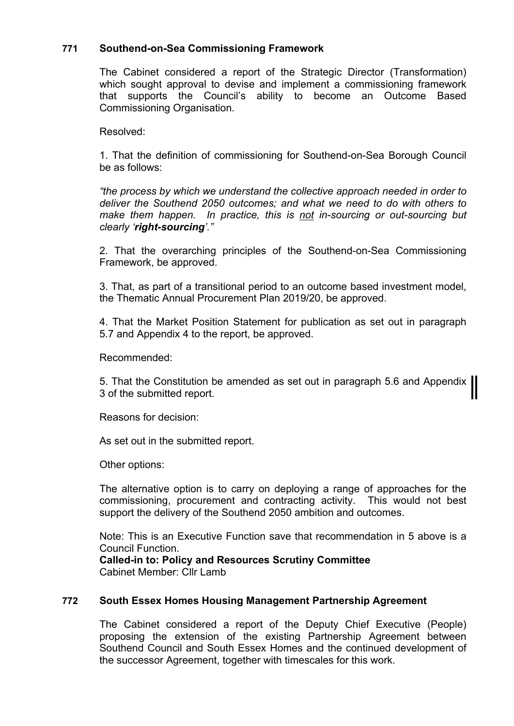# **771 Southend-on-Sea Commissioning Framework**

The Cabinet considered a report of the Strategic Director (Transformation) which sought approval to devise and implement a commissioning framework that supports the Council's ability to become an Outcome Based Commissioning Organisation.

Resolved:

1. That the definition of commissioning for Southend-on-Sea Borough Council be as follows:

*"the process by which we understand the collective approach needed in order to deliver the Southend 2050 outcomes; and what we need to do with others to make them happen. In practice, this is not in-sourcing or out-sourcing but clearly 'right-sourcing'."*

2. That the overarching principles of the Southend-on-Sea Commissioning Framework, be approved.

3. That, as part of a transitional period to an outcome based investment model, the Thematic Annual Procurement Plan 2019/20, be approved.

4. That the Market Position Statement for publication as set out in paragraph 5.7 and Appendix 4 to the report, be approved.

Recommended:

5. That the Constitution be amended as set out in paragraph 5.6 and Appendix 3 of the submitted report.

Reasons for decision:

As set out in the submitted report.

Other options:

The alternative option is to carry on deploying a range of approaches for the commissioning, procurement and contracting activity. This would not best support the delivery of the Southend 2050 ambition and outcomes.

Note: This is an Executive Function save that recommendation in 5 above is a Council Function.

**Called-in to: Policy and Resources Scrutiny Committee** Cabinet Member: Cllr Lamb

## **772 South Essex Homes Housing Management Partnership Agreement**

The Cabinet considered a report of the Deputy Chief Executive (People) proposing the extension of the existing Partnership Agreement between Southend Council and South Essex Homes and the continued development of the successor Agreement, together with timescales for this work.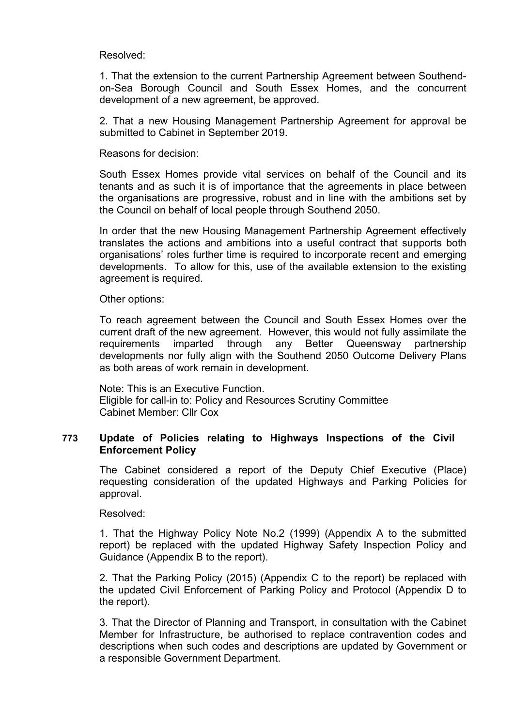Resolved:

1. That the extension to the current Partnership Agreement between Southendon-Sea Borough Council and South Essex Homes, and the concurrent development of a new agreement, be approved.

2. That a new Housing Management Partnership Agreement for approval be submitted to Cabinet in September 2019.

Reasons for decision:

South Essex Homes provide vital services on behalf of the Council and its tenants and as such it is of importance that the agreements in place between the organisations are progressive, robust and in line with the ambitions set by the Council on behalf of local people through Southend 2050.

In order that the new Housing Management Partnership Agreement effectively translates the actions and ambitions into a useful contract that supports both organisations' roles further time is required to incorporate recent and emerging developments. To allow for this, use of the available extension to the existing agreement is required.

Other options:

To reach agreement between the Council and South Essex Homes over the current draft of the new agreement. However, this would not fully assimilate the requirements imparted through any Better Queensway partnership developments nor fully align with the Southend 2050 Outcome Delivery Plans as both areas of work remain in development.

Note: This is an Executive Function. Eligible for call-in to: Policy and Resources Scrutiny Committee Cabinet Member: Cllr Cox

#### **773 Update of Policies relating to Highways Inspections of the Civil Enforcement Policy**

The Cabinet considered a report of the Deputy Chief Executive (Place) requesting consideration of the updated Highways and Parking Policies for approval.

Resolved:

1. That the Highway Policy Note No.2 (1999) (Appendix A to the submitted report) be replaced with the updated Highway Safety Inspection Policy and Guidance (Appendix B to the report).

2. That the Parking Policy (2015) (Appendix C to the report) be replaced with the updated Civil Enforcement of Parking Policy and Protocol (Appendix D to the report).

3. That the Director of Planning and Transport, in consultation with the Cabinet Member for Infrastructure, be authorised to replace contravention codes and descriptions when such codes and descriptions are updated by Government or a responsible Government Department.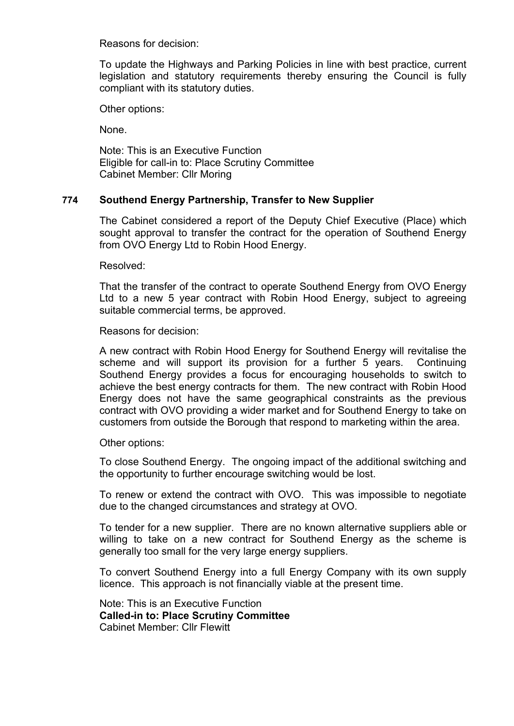Reasons for decision:

To update the Highways and Parking Policies in line with best practice, current legislation and statutory requirements thereby ensuring the Council is fully compliant with its statutory duties.

Other options:

None.

Note: This is an Executive Function Eligible for call-in to: Place Scrutiny Committee Cabinet Member: Cllr Moring

## **774 Southend Energy Partnership, Transfer to New Supplier**

The Cabinet considered a report of the Deputy Chief Executive (Place) which sought approval to transfer the contract for the operation of Southend Energy from OVO Energy Ltd to Robin Hood Energy.

Resolved:

That the transfer of the contract to operate Southend Energy from OVO Energy Ltd to a new 5 year contract with Robin Hood Energy, subject to agreeing suitable commercial terms, be approved.

Reasons for decision:

A new contract with Robin Hood Energy for Southend Energy will revitalise the scheme and will support its provision for a further 5 years. Continuing Southend Energy provides a focus for encouraging households to switch to achieve the best energy contracts for them. The new contract with Robin Hood Energy does not have the same geographical constraints as the previous contract with OVO providing a wider market and for Southend Energy to take on customers from outside the Borough that respond to marketing within the area.

Other options:

To close Southend Energy. The ongoing impact of the additional switching and the opportunity to further encourage switching would be lost.

To renew or extend the contract with OVO. This was impossible to negotiate due to the changed circumstances and strategy at OVO.

To tender for a new supplier. There are no known alternative suppliers able or willing to take on a new contract for Southend Energy as the scheme is generally too small for the very large energy suppliers.

To convert Southend Energy into a full Energy Company with its own supply licence. This approach is not financially viable at the present time.

Note: This is an Executive Function **Called-in to: Place Scrutiny Committee** Cabinet Member: Cllr Flewitt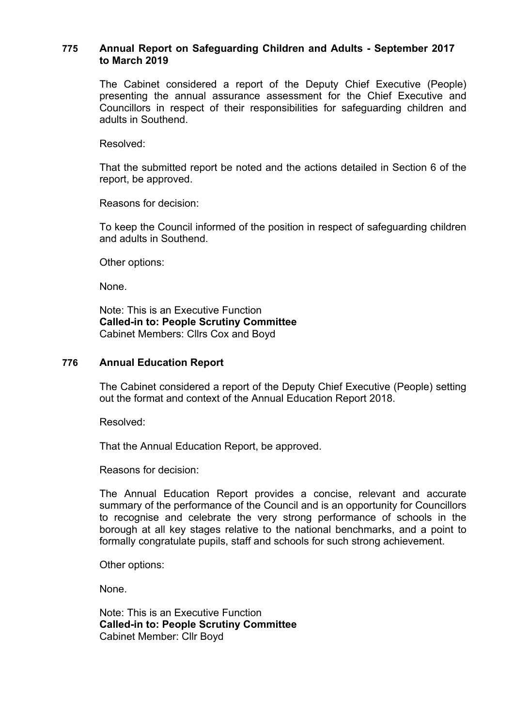## **775 Annual Report on Safeguarding Children and Adults - September 2017 to March 2019**

The Cabinet considered a report of the Deputy Chief Executive (People) presenting the annual assurance assessment for the Chief Executive and Councillors in respect of their responsibilities for safeguarding children and adults in Southend.

Resolved:

That the submitted report be noted and the actions detailed in Section 6 of the report, be approved.

Reasons for decision:

To keep the Council informed of the position in respect of safeguarding children and adults in Southend.

Other options:

None.

Note: This is an Executive Function **Called-in to: People Scrutiny Committee** Cabinet Members: Cllrs Cox and Boyd

## **776 Annual Education Report**

The Cabinet considered a report of the Deputy Chief Executive (People) setting out the format and context of the Annual Education Report 2018.

Resolved:

That the Annual Education Report, be approved.

Reasons for decision:

The Annual Education Report provides a concise, relevant and accurate summary of the performance of the Council and is an opportunity for Councillors to recognise and celebrate the very strong performance of schools in the borough at all key stages relative to the national benchmarks, and a point to formally congratulate pupils, staff and schools for such strong achievement.

Other options:

None.

Note: This is an Executive Function **Called-in to: People Scrutiny Committee** Cabinet Member: Cllr Boyd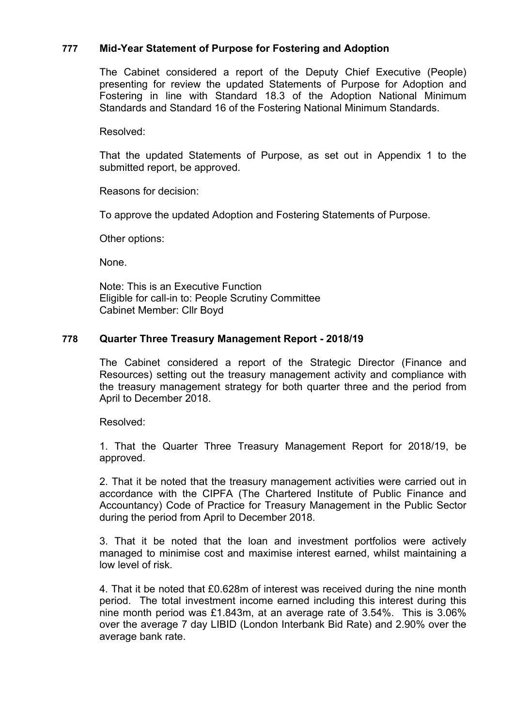## **777 Mid-Year Statement of Purpose for Fostering and Adoption**

The Cabinet considered a report of the Deputy Chief Executive (People) presenting for review the updated Statements of Purpose for Adoption and Fostering in line with Standard 18.3 of the Adoption National Minimum Standards and Standard 16 of the Fostering National Minimum Standards.

#### Resolved:

That the updated Statements of Purpose, as set out in Appendix 1 to the submitted report, be approved.

Reasons for decision:

To approve the updated Adoption and Fostering Statements of Purpose.

Other options:

None.

Note: This is an Executive Function Eligible for call-in to: People Scrutiny Committee Cabinet Member: Cllr Boyd

## **778 Quarter Three Treasury Management Report - 2018/19**

The Cabinet considered a report of the Strategic Director (Finance and Resources) setting out the treasury management activity and compliance with the treasury management strategy for both quarter three and the period from April to December 2018.

Resolved:

1. That the Quarter Three Treasury Management Report for 2018/19, be approved.

2. That it be noted that the treasury management activities were carried out in accordance with the CIPFA (The Chartered Institute of Public Finance and Accountancy) Code of Practice for Treasury Management in the Public Sector during the period from April to December 2018.

3. That it be noted that the loan and investment portfolios were actively managed to minimise cost and maximise interest earned, whilst maintaining a low level of risk.

4. That it be noted that £0.628m of interest was received during the nine month period. The total investment income earned including this interest during this nine month period was £1.843m, at an average rate of 3.54%. This is 3.06% over the average 7 day LIBID (London Interbank Bid Rate) and 2.90% over the average bank rate.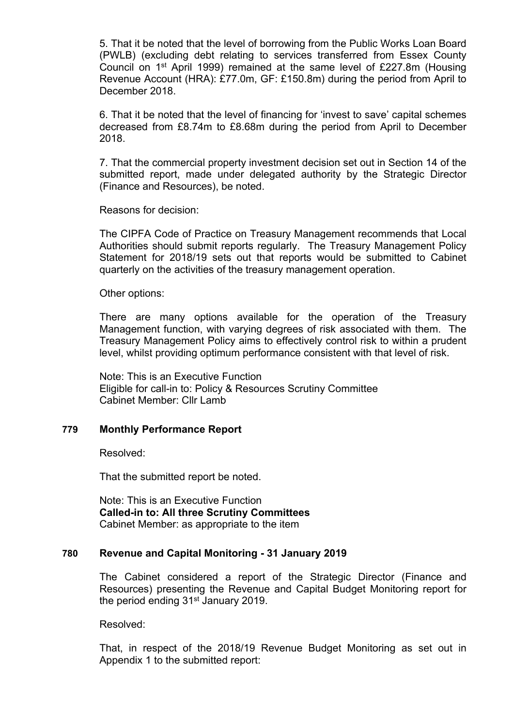5. That it be noted that the level of borrowing from the Public Works Loan Board (PWLB) (excluding debt relating to services transferred from Essex County Council on 1<sup>st</sup> April 1999) remained at the same level of £227.8m (Housing Revenue Account (HRA): £77.0m, GF: £150.8m) during the period from April to December 2018.

6. That it be noted that the level of financing for 'invest to save' capital schemes decreased from £8.74m to £8.68m during the period from April to December 2018.

7. That the commercial property investment decision set out in Section 14 of the submitted report, made under delegated authority by the Strategic Director (Finance and Resources), be noted.

Reasons for decision:

The CIPFA Code of Practice on Treasury Management recommends that Local Authorities should submit reports regularly. The Treasury Management Policy Statement for 2018/19 sets out that reports would be submitted to Cabinet quarterly on the activities of the treasury management operation.

Other options:

There are many options available for the operation of the Treasury Management function, with varying degrees of risk associated with them. The Treasury Management Policy aims to effectively control risk to within a prudent level, whilst providing optimum performance consistent with that level of risk.

Note: This is an Executive Function Eligible for call-in to: Policy & Resources Scrutiny Committee Cabinet Member: Cllr Lamb

## **779 Monthly Performance Report**

Resolved:

That the submitted report be noted.

Note: This is an Executive Function **Called-in to: All three Scrutiny Committees** Cabinet Member: as appropriate to the item

#### **780 Revenue and Capital Monitoring - 31 January 2019**

The Cabinet considered a report of the Strategic Director (Finance and Resources) presenting the Revenue and Capital Budget Monitoring report for the period ending 31<sup>st</sup> January 2019.

Resolved:

That, in respect of the 2018/19 Revenue Budget Monitoring as set out in Appendix 1 to the submitted report: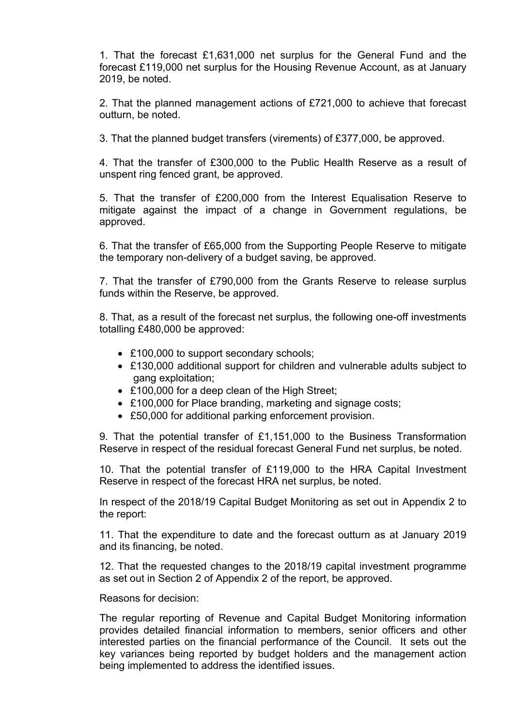1. That the forecast £1,631,000 net surplus for the General Fund and the forecast £119,000 net surplus for the Housing Revenue Account, as at January 2019, be noted.

2. That the planned management actions of £721,000 to achieve that forecast outturn, be noted.

3. That the planned budget transfers (virements) of £377,000, be approved.

4. That the transfer of £300,000 to the Public Health Reserve as a result of unspent ring fenced grant, be approved.

5. That the transfer of £200,000 from the Interest Equalisation Reserve to mitigate against the impact of a change in Government regulations, be approved.

6. That the transfer of £65,000 from the Supporting People Reserve to mitigate the temporary non-delivery of a budget saving, be approved.

7. That the transfer of £790,000 from the Grants Reserve to release surplus funds within the Reserve, be approved.

8. That, as a result of the forecast net surplus, the following one-off investments totalling £480,000 be approved:

- £100,000 to support secondary schools;
- £130,000 additional support for children and vulnerable adults subject to gang exploitation;
- £100,000 for a deep clean of the High Street;
- £100,000 for Place branding, marketing and signage costs;
- £50,000 for additional parking enforcement provision.

9. That the potential transfer of £1,151,000 to the Business Transformation Reserve in respect of the residual forecast General Fund net surplus, be noted.

10. That the potential transfer of £119,000 to the HRA Capital Investment Reserve in respect of the forecast HRA net surplus, be noted.

In respect of the 2018/19 Capital Budget Monitoring as set out in Appendix 2 to the report:

11. That the expenditure to date and the forecast outturn as at January 2019 and its financing, be noted.

12. That the requested changes to the 2018/19 capital investment programme as set out in Section 2 of Appendix 2 of the report, be approved.

Reasons for decision:

The regular reporting of Revenue and Capital Budget Monitoring information provides detailed financial information to members, senior officers and other interested parties on the financial performance of the Council. It sets out the key variances being reported by budget holders and the management action being implemented to address the identified issues.